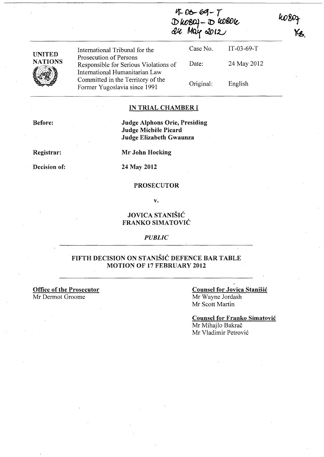$4-06-69-7$  $D$  kob $\Omega$ )  $D$  liobole *&tt* **Mctl(** *O/f)* t~

10807<br>Ys.

| <b>UNITED</b><br><b>NATIONS</b> | International Tribunal for the                                                                    | Case No.  | $IT-03-69-T$ |
|---------------------------------|---------------------------------------------------------------------------------------------------|-----------|--------------|
|                                 | Prosecution of Persons<br>Responsible for Serious Violations of<br>International Humanitarian Law | Date:     | 24 May 2012  |
|                                 | Committed in the Territory of the<br>Former Yugoslavia since 1991                                 | Original: | English      |

## IN TRIAL CHAMBER I

Judge Alphons Orie, Presiding Judge Michele Picard Judge Elizabeth Gwaunza

Registrar:

Before:

Decision of:

Mr John Hocking

## 24 May 2012

### PROSECUTOR

v.

# JOVICA STANISIC FRANKO SIMATOVIC

*PUBLIC* 

# FIFTH DECISION ON STANISIC DEFENCE BAR TABLE MOTION OF 17 FEBRUARY 2012

Office of the Prosecutor Mr Dermot Groome

# Counsel for Jovica Stanisic Mr Wayne Jordash Mr Scott Martin

Counsel for Franko Simatovic Mr Mihajlo Bakrač Mr Vladimir Petrovic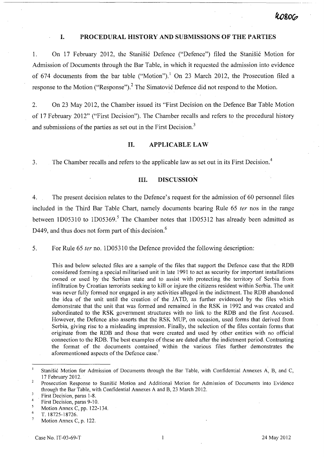## I. PROCEDURAL HISTORY AND SUBMISSIONS OF THE PARTIES

1. On 17 February 2012, the Stanisic Defence ("Defence") filed the Stanisic Motion for Admission of Documents through the Bar Table, in which it requested the admission into evidence of 674 documents from the bar table ("Motion").<sup>1</sup> On 23 March 2012, the Prosecution filed a response to the Motion ("Response").<sup>2</sup> The Simatović Defence did not respond to the Motion.

2. On 23 May 2012, the Chamber issued its "First Decision on the Defence Bar Table Motion of 17 February 2012" ("First Decision"). The Chamber recalls and refers to the procedural history and submissions of the parties as set out in the First Decision.<sup>3</sup>

## n. APPLICABLE LAW

3. The Chamber recalls and refers to the applicable law as set out in its First Decision.<sup>4</sup>

# III. DISCUSSION

4. The present decision relates to the Defence's request for the admission of 60 personnel files included in the Third Bar Table Chart, namely documents bearing Rule 6§ fer nos in the range between 1D05310 to 1D05369.<sup>5</sup> The Chamber notes that 1D05312 has already been admitted as D449, and thus does not form part of this decision.<sup>6</sup>

5. For Rule 65 fer no. 1D05310 the Defence provided the following description:

This and below selected files are a sample of the files that support the Defence case that the RDB considered forming a special militarised unit in late 1991 to act as security for important installations owned or used by the Serbian state and to assist with protecting the territory of Serbia from infiltration by Croatian terrorists seeking to kill or injure the citizens resident within Serbia. The unit was never fully formed nor engaged in any activities alleged in the indictment. The RDB abandoned the idea of the unit until the creation of the JATD, as further evidenced by the files which demonstrate that the unit that was formed and remained in the RSK in 1992 and was created and subordinated to the RSK government structures with no link to the RDB and the first Accused. However, the Defence also asserts that the RSK MUP, on occasion, used forms that derived from Serbia, giving rise to a misleading impression. Finally, the selection of the files contain forms that originate from the RDB and those that were created and used by other entities with no official connection to the RDB. The best examples of these are dated after the indictment period. Contrasting the format of the documents contained within the various files further demonstrates the aforementioned aspects of the Defence case.

 $\mathbf{1}$ Stanišić Motion for Admission of Documents through the Bar Table, with Confidential Annexes A, B, and C, 17 February 2012.

 $\overline{2}$ Prosecution Response to Stanišić Motion and Additional Motion for Admission of Documents into Evidence through the Bar Table, with Confidential Annexes A and B, 23 March 2012.

 $\overline{\mathbf{3}}$ . First Decision, paras 1-8.

<sup>4</sup>  First Decision, paras 9-10.

 $\overline{\mathbf{5}}$ Motion Annex C, pp. 122-134. 6

T.18725-18726.  $\overline{7}$ 

Motion Annex C, p. 122.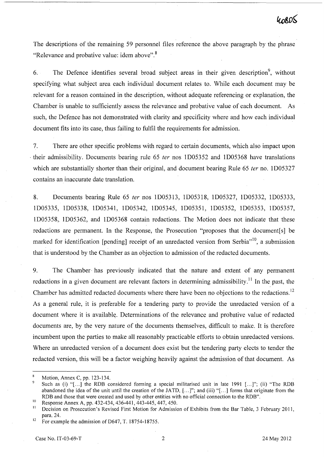The descriptions of the remaining 59 personnel files reference the above paragraph by the phrase "Relevance and probative value: idem above".<sup>8</sup>

6. The Defence identifies several broad subject areas in their given description<sup>9</sup>, without specifying what subject area each individual document relates to. While each document may be relevant for a reason contained in the description, without adequate referencing or explanation, the Chamber is unable to sufficiently assess the relevance and probative value of each document. As such, the Defence has not demonstrated with clarity and specificity where and how each individual document fits into its case, thus failing to fulfil the requirements for admission.

7. There are other specific problems with regard to certain documents, which also impact upon  $\cdot$  their admissibility. Documents bearing rule 65 *ter* nos 1D05352 and 1D05368 have translations which are substantially shorter than their original, and document bearing Rule 65 *ter* no. 1D05327 contains an inaccurate date translation.

8. Documents bearing Rule 65 fer nos ID05313, ID05318, ID05327, ID05332, ID05333, ID05335, ID05338, ID05341, ID05342, ID05345, ID05351, ID05352, ID05353, ID05357, ID05358,. ID05362, and ID05368 contain redactions. The Motion does not indicate that these redactions are permanent. In the Response, the Prosecution "proposes that the document [s] be marked for identification [pending] receipt of an unredacted version from Serbia"<sup>10</sup>, a submission that is understood by the Chamber as an objection to admission of the redacted documents.

9. The Chamber' has previously indicated that the nature and extent of any permanent redactions in a given document are relevant factors in determining admissibility.<sup>11</sup> In the past, the Chamber has admitted redacted documents where there have been no objections to the redactions.<sup>12</sup> As a general rule, it is preferable for a tendering party to provide the umedacted version of a document where it is available. Determinations of the relevance and probative value of redacted documents are, by the very nature of the documents themselves, difficult to make. It is therefore incumbent upon the parties to make all reasonably practicable efforts to obtain umedacted versions. Where an umedacted version of a document does exist but the tendering party elects to tender the redacted version, this will be a factor weighing heavily against the admission of that document. As

Motion, Annex C, pp. 123-134.

Such as (i) "[...] the RDB considered forming a special militarised unit in late 1991 [...]"; (ii) "The RDB abandoned the idea of the unit until the creation of the JATD, [...]"; and (iii) "[...] forms that originate from the RDB and those that were created and used by other entities with no official connection to the RDB".

<sup>&</sup>lt;sup>10</sup> Response Annex A, pp. 432-434, 436-441, 443-445, 447, 450.<br><sup>11</sup> Decision on Presequition's Boyieed First Motion for Admission

Decision on Prosecution's Revised First Motion for Admission of Exhibits from the Bar Table, 3 February 2011, para. 24.

<sup>&</sup>lt;sup>12</sup> For example the admission of D647, T. 18754-18755.